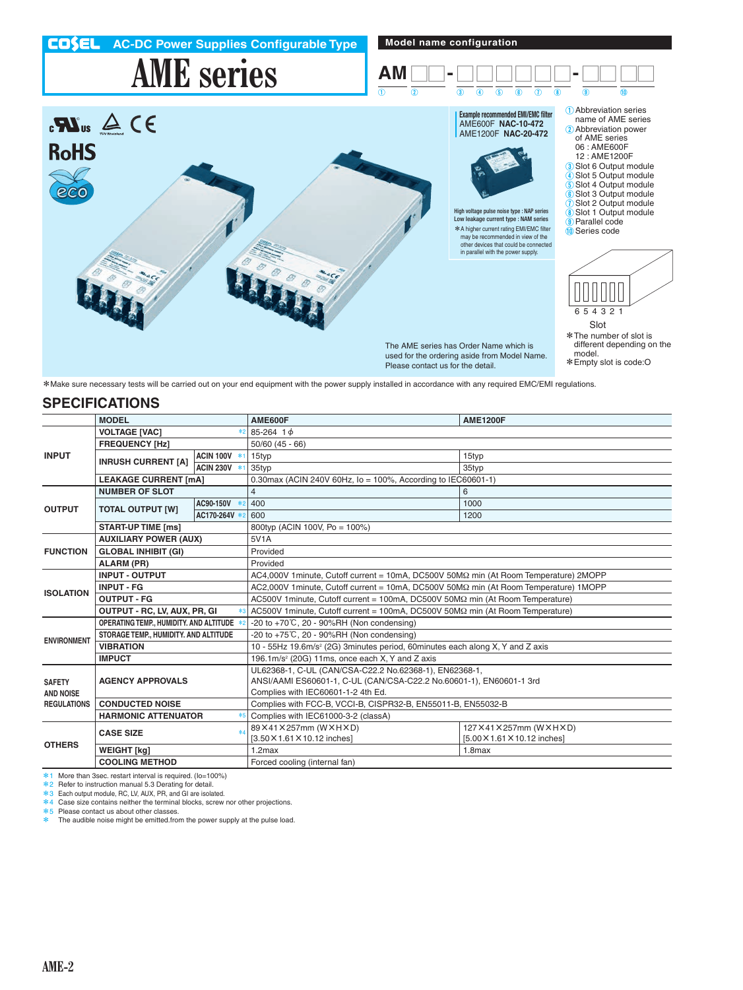

\*Make sure necessary tests will be carried out on your end equipment with the power supply installed in accordance with any required EMC/EMI regulations.

## **SPECIFICATIONS**

|                                   | <b>MODEL</b>                              |              | AME600F<br><b>AME1200F</b>                                                                                                                                          |                              |  |
|-----------------------------------|-------------------------------------------|--------------|---------------------------------------------------------------------------------------------------------------------------------------------------------------------|------------------------------|--|
| <b>INPUT</b>                      | <b>VOLTAGE [VAC]</b><br>*2                |              | 85-264 1 $\phi$                                                                                                                                                     |                              |  |
|                                   | <b>FREQUENCY [Hz]</b>                     |              | $50/60$ (45 - 66)                                                                                                                                                   |                              |  |
|                                   | <b>INRUSH CURRENT [A]</b>                 | ACIN 100V *1 | 15typ                                                                                                                                                               | 15typ                        |  |
|                                   |                                           | ACIN 230V *1 | 35typ                                                                                                                                                               | 35typ                        |  |
|                                   | <b>LEAKAGE CURRENT [mA]</b>               |              | 0.30max (ACIN 240V 60Hz, $I_0 = 100\%$ , According to IEC60601-1)                                                                                                   |                              |  |
| <b>OUTPUT</b>                     | <b>NUMBER OF SLOT</b>                     |              | $\overline{4}$                                                                                                                                                      | 6                            |  |
|                                   | <b>TOTAL OUTPUT [W]</b>                   | AC90-150V *2 | 400                                                                                                                                                                 | 1000                         |  |
|                                   |                                           | AC170-264V * | 600                                                                                                                                                                 | 1200                         |  |
|                                   | <b>START-UP TIME [ms]</b>                 |              | 800typ (ACIN 100V, Po = 100%)                                                                                                                                       |                              |  |
| <b>FUNCTION</b>                   | <b>AUXILIARY POWER (AUX)</b>              |              | 5V <sub>1</sub> A                                                                                                                                                   |                              |  |
|                                   | <b>GLOBAL INHIBIT (GI)</b>                |              | Provided                                                                                                                                                            |                              |  |
|                                   | ALARM (PR)                                |              | Provided                                                                                                                                                            |                              |  |
| <b>ISOLATION</b>                  | <b>INPUT - OUTPUT</b>                     |              | AC4,000V 1 minute, Cutoff current = 10mA, DC500V 50MΩ min (At Room Temperature) 2MOPP                                                                               |                              |  |
|                                   | <b>INPUT - FG</b>                         |              | AC2,000V 1minute, Cutoff current = 10mA, DC500V 50MΩ min (At Room Temperature) 1MOPP                                                                                |                              |  |
|                                   | <b>OUTPUT - FG</b>                        |              | AC500V 1minute, Cutoff current = 100mA, DC500V 50MΩ min (At Room Temperature)                                                                                       |                              |  |
|                                   | OUTPUT - RC, LV, AUX, PR, GI              |              | AC500V 1minute, Cutoff current = 100mA, DC500V 50MΩ min (At Room Temperature)                                                                                       |                              |  |
| <b>ENVIRONMENT</b>                | OPERATING TEMP., HUMIDITY, AND ALTITUDE * |              | $-20$ to $+70^{\circ}$ C. 20 - 90%RH (Non condensing)                                                                                                               |                              |  |
|                                   | STORAGE TEMP., HUMIDITY. AND ALTITUDE     |              | -20 to +75℃, 20 - 90%RH (Non condensing)                                                                                                                            |                              |  |
|                                   | <b>VIBRATION</b>                          |              | 10 - 55Hz 19.6m/s <sup>2</sup> (2G) 3minutes period, 60minutes each along X, Y and Z axis                                                                           |                              |  |
|                                   | <b>IMPUCT</b>                             |              | 196.1m/s <sup>2</sup> (20G) 11ms, once each X, Y and Z axis                                                                                                         |                              |  |
| <b>SAFETY</b><br><b>AND NOISE</b> | <b>AGENCY APPROVALS</b>                   |              | UL62368-1, C-UL (CAN/CSA-C22.2 No.62368-1), EN62368-1,<br>ANSI/AAMI ES60601-1, C-UL (CAN/CSA-C22.2 No.60601-1), EN60601-1 3rd<br>Complies with IEC60601-1-2 4th Ed. |                              |  |
| <b>REGULATIONS</b>                | <b>CONDUCTED NOISE</b>                    |              | Complies with FCC-B, VCCI-B, CISPR32-B, EN55011-B, EN55032-B                                                                                                        |                              |  |
|                                   | <b>HARMONIC ATTENUATOR</b>                |              | Complies with IEC61000-3-2 (classA)                                                                                                                                 |                              |  |
| <b>OTHERS</b>                     | <b>CASE SIZE</b>                          |              | 89×41×257mm (W×H×D)                                                                                                                                                 | 127×41×257mm (W×H×D)         |  |
|                                   |                                           |              | [3.50 × 1.61 × 10.12 inches]                                                                                                                                        | [5.00 × 1.61 × 10.12 inches] |  |
|                                   | <b>WEIGHT [kg]</b>                        |              | $1.2$ max                                                                                                                                                           | $1.8$ max                    |  |
|                                   | <b>COOLING METHOD</b>                     |              | Forced cooling (internal fan)                                                                                                                                       |                              |  |

\*1 More than 3sec. restart interval is required. (Io=100%)

\*2 Refer to instruction manual 5.3 Derating for detail.

\*3 Each output module, RC, LV, AUX, PR, and GI are isolated. \*4 Case size contains neither the terminal blocks, screw nor other projections.

\*5 Please contact us about other classes.<br>\*5 Please contact us about other classes.<br>\* The audible noise minht be amitted from

The audible noise might be emitted.from the power supply at the pulse load.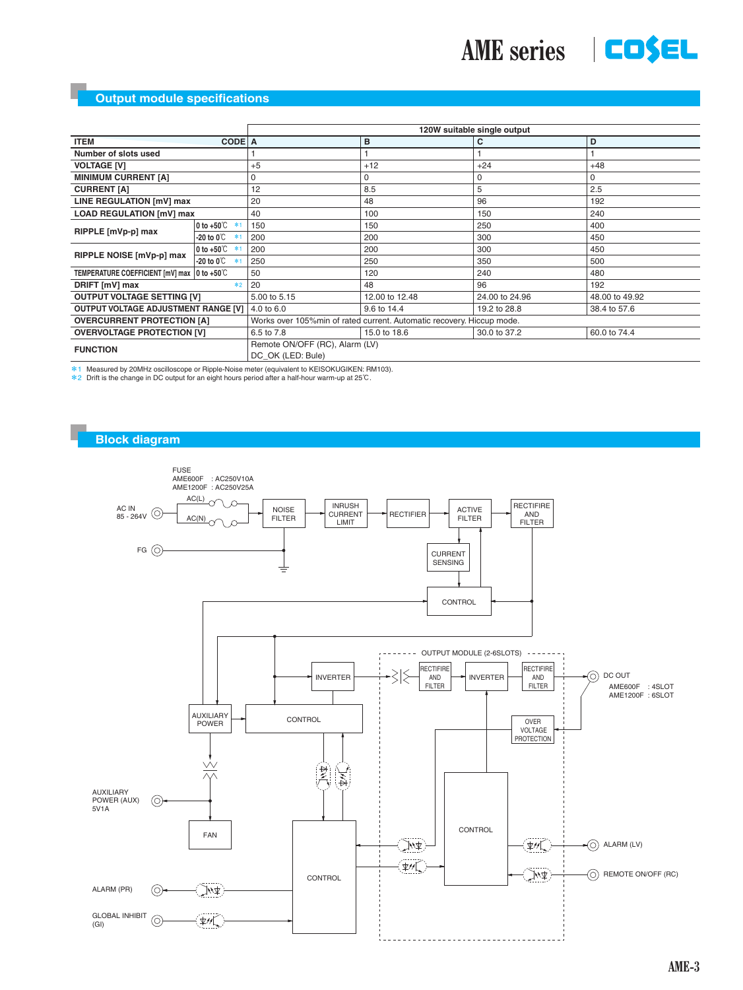

|                                               |                                    | 120W suitable single output                                            |                |                |                |  |  |
|-----------------------------------------------|------------------------------------|------------------------------------------------------------------------|----------------|----------------|----------------|--|--|
| CODE A<br><b>ITEM</b>                         |                                    |                                                                        | в              | С              | D              |  |  |
| Number of slots used                          |                                    |                                                                        |                |                |                |  |  |
| <b>VOLTAGE [V]</b>                            |                                    | $+5$                                                                   | $+12$          | $+24$          | $+48$          |  |  |
| <b>MINIMUM CURRENT [A]</b>                    |                                    |                                                                        | $\Omega$       | 0              | 0              |  |  |
| <b>CURRENT [A]</b>                            |                                    | 12                                                                     | 8.5            | 5              | 2.5            |  |  |
| LINE REGULATION [mV] max                      |                                    | 20                                                                     | 48             | 96             | 192            |  |  |
| <b>LOAD REGULATION [mV] max</b>               |                                    | 40                                                                     | 100            | 150            | 240            |  |  |
| RIPPLE [mVp-p] max                            | 0 to +50 $\degree$<br>$*1$         | 150                                                                    | 150            | 250            | 400            |  |  |
|                                               | -20 to 0℃<br>$*1$                  | 200                                                                    | 200            | 300            | 450            |  |  |
| RIPPLE NOISE [mVp-p] max                      | $ 0 \text{ to } +50 \degree$<br>*1 | 200                                                                    | 200            | 300            | 450            |  |  |
|                                               | -20 to 0 $^\circ\text{C}$<br>$*1$  | 250                                                                    | 250            | 350            | 500            |  |  |
| TEMPERATURE COEFFICIENT [mV] max   0 to +50°C |                                    | 50                                                                     | 120            | 240            | 480            |  |  |
| DRIFT [mV] max<br>$*2$                        |                                    | 20                                                                     | 48             | 96             | 192            |  |  |
| <b>OUTPUT VOLTAGE SETTING [V]</b>             |                                    | 5.00 to 5.15                                                           | 12.00 to 12.48 | 24.00 to 24.96 | 48.00 to 49.92 |  |  |
| <b>OUTPUT VOLTAGE ADJUSTMENT RANGE [V]  </b>  |                                    | 4.0 to 6.0                                                             | 9.6 to 14.4    | 19.2 to 28.8   | 38.4 to 57.6   |  |  |
| <b>OVERCURRENT PROTECTION [A]</b>             |                                    | Works over 105% min of rated current. Automatic recovery. Hiccup mode. |                |                |                |  |  |
| <b>OVERVOLTAGE PROTECTION [V]</b>             |                                    | 6.5 to 7.8                                                             | 15.0 to 18.6   | 30.0 to 37.2   | 60.0 to 74.4   |  |  |
| <b>FUNCTION</b>                               |                                    | Remote ON/OFF (RC), Alarm (LV)<br>DC OK (LED: Bule)                    |                |                |                |  |  |

 $*1$  Measured by 20MHz oscilloscope or Ripple-Noise meter (equivalent to KEISOKUGIKEN: RM103).<br> $*2$  Drift is the change in DC output for an eight hours period after a half-hour warm-up at 25℃.

#### **Block diagram**

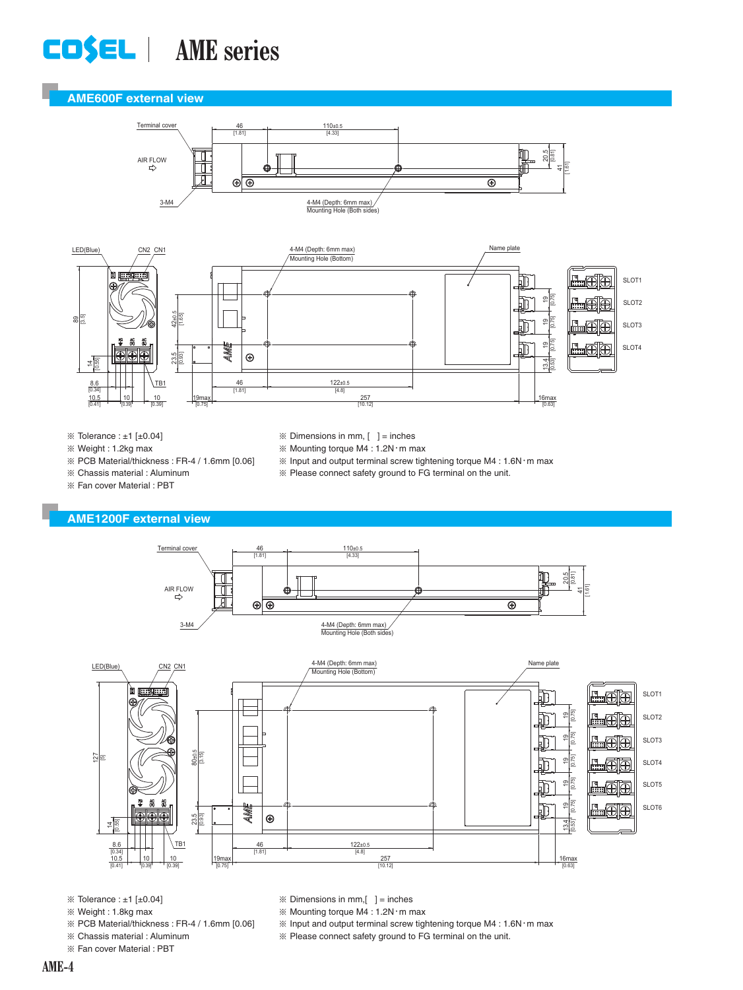# **AME series**

### **AME600F external view**





 $\%$  Tolerance : ±1 [±0.04] ¶ Weight : 1.2kg max

- $\mathbb X$  Dimensions in mm,  $[$  ] = inches
	- $%$  Mounting torque M4 : 1.2N $\cdot$ m max
	- $\%$  Input and output terminal screw tightening torque M4 : 1.6N $\cdot$ m max
	- ¶ Please connect safety ground to FG terminal on the unit.
- ¶ Chassis material : Aluminum ¶ Fan cover Material : PBT

### **AME1200F external view**

¶ PCB Material/thickness : FR-4 / 1.6mm [0.06]





- $\%$  Tolerance : ±1 [±0.04]
- ¶ Weight : 1.8kg max
- ¶ PCB Material/thickness : FR-4 / 1.6mm [0.06]
- ¶ Chassis material : Aluminum
- ¶ Fan cover Material : PBT
- $\mathbb X$  Dimensions in mm,  $\begin{bmatrix} \ \ \end{bmatrix}$  = inches
- $%$  Mounting torque M4 : 1.2N $\cdot$ m max
- $\%$  Input and output terminal screw tightening torque M4 : 1.6N $\cdot$ m max
- ¶ Please connect safety ground to FG terminal on the unit.